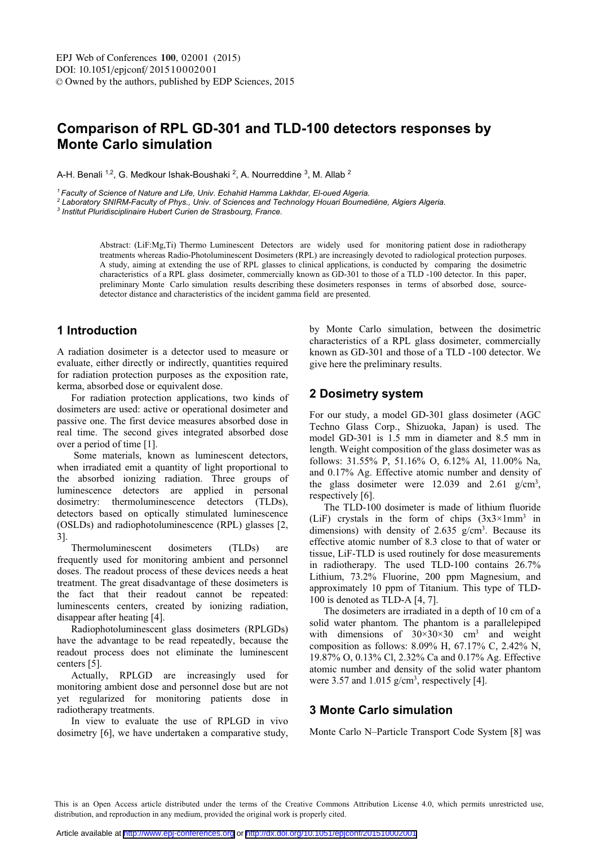# Comparison of RPL GD-301 and TLD-100 detectors responses by **Monte Carlo simulation**

A-H. Benali <sup>1,2</sup>, G. Medkour Ishak-Boushaki <sup>2</sup>, A. Nourreddine <sup>3</sup>, M. Allab <sup>2</sup>

<sup>1</sup> Faculty of Science of Nature and Life, Univ. Echahid Hamma Lakhdar, El-oued Algeria.

<sup>2</sup> Laboratory SNIRM-Faculty of Phys., Univ. of Sciences and Technology Houari Boumediène, Algiers Algeria.

<sup>3</sup> Institut Pluridisciplinaire Hubert Curien de Strasbourg, France.

Abstract: (LiF:Mg,Ti) Thermo Luminescent Detectors are widely used for monitoring patient dose in radiotherapy treatments whereas Radio-Photoluminescent Dosimeters (RPL) are increasingly devoted to radiological protection purposes. A study, aiming at extending the use of RPL glasses to clinical applications, is conducted by comparing the dosimetric characteristics of a RPL glass dosimeter, commercially known as GD-301 to those of a TLD-100 detector. In this paper, preliminary Monte Carlo simulation results describing these dosimeters responses in terms of absorbed dose, sourcedetector distance and characteristics of the incident gamma field are presented.

# 1 Introduction

A radiation dosimeter is a detector used to measure or evaluate, either directly or indirectly, quantities required for radiation protection purposes as the exposition rate, kerma, absorbed dose or equivalent dose.

For radiation protection applications, two kinds of dosimeters are used: active or operational dosimeter and passive one. The first device measures absorbed dose in real time. The second gives integrated absorbed dose over a period of time [1].

Some materials, known as luminescent detectors, when irradiated emit a quantity of light proportional to the absorbed ionizing radiation. Three groups of luminescence detectors are applied in personal dosimetry: thermoluminescence detectors  $(TLDs)$ . detectors based on optically stimulated luminescence (OSLDs) and radiophotoluminescence (RPL) glasses [2,  $3$ ].

Thermoluminescent  $(TLDs)$ dosimeters are frequently used for monitoring ambient and personnel doses. The readout process of these devices needs a heat treatment. The great disadvantage of these dosimeters is the fact that their readout cannot be repeated: luminescents centers, created by ionizing radiation, disappear after heating [4].

Radiophotoluminescent glass dosimeters (RPLGDs) have the advantage to be read repeatedly, because the readout process does not eliminate the luminescent centers [5].

Actually, RPLGD are increasingly used for monitoring ambient dose and personnel dose but are not yet regularized for monitoring patients dose in radiotherapy treatments.

In view to evaluate the use of RPLGD in vivo dosimetry [6], we have undertaken a comparative study.

by Monte Carlo simulation, between the dosimetric characteristics of a RPL glass dosimeter, commercially known as GD-301 and those of a TLD -100 detector. We give here the preliminary results.

# 2 Dosimetry system

For our study, a model GD-301 glass dosimeter (AGC Techno Glass Corp., Shizuoka, Japan) is used. The model GD-301 is 1.5 mm in diameter and 8.5 mm in length. Weight composition of the glass dosimeter was as follows: 31.55% P, 51.16% O, 6.12% Al, 11.00% Na, and 0.17% Ag. Effective atomic number and density of the glass dosimeter were  $12.039$  and  $2.61$  g/cm<sup>3</sup>, respectively [6].

The TLD-100 dosimeter is made of lithium fluoride (LiF) crystals in the form of chips  $(3x3 \times 1 \text{mm}^3)$  in dimensions) with density of 2.635  $g/cm<sup>3</sup>$ . Because its effective atomic number of 8.3 close to that of water or tissue, LiF-TLD is used routinely for dose measurements in radiotherapy. The used TLD-100 contains 26.7% Lithium, 73.2% Fluorine, 200 ppm Magnesium, and approximately 10 ppm of Titanium. This type of TLD-100 is denoted as TLD-A  $[4, 7]$ .

The dosimeters are irradiated in a depth of 10 cm of a solid water phantom. The phantom is a parallelepiped with dimensions of  $30 \times 30 \times 30$  cm<sup>3</sup> and weight composition as follows:  $8.09\%$  H,  $67.17\%$  C,  $2.42\%$  N, 19.87% O, 0.13% Cl, 2.32% Ca and 0.17% Ag. Effective atomic number and density of the solid water phantom were 3.57 and 1.015  $g/cm<sup>3</sup>$ , respectively [4].

## **3 Monte Carlo simulation**

Monte Carlo N-Particle Transport Code System [8] was

This is an Open Access article distributed under the terms of the Creative Commons Attribution License 4.0, which permits unrestricted use, distribution, and reproduction in any medium, provided the original work is properly cited.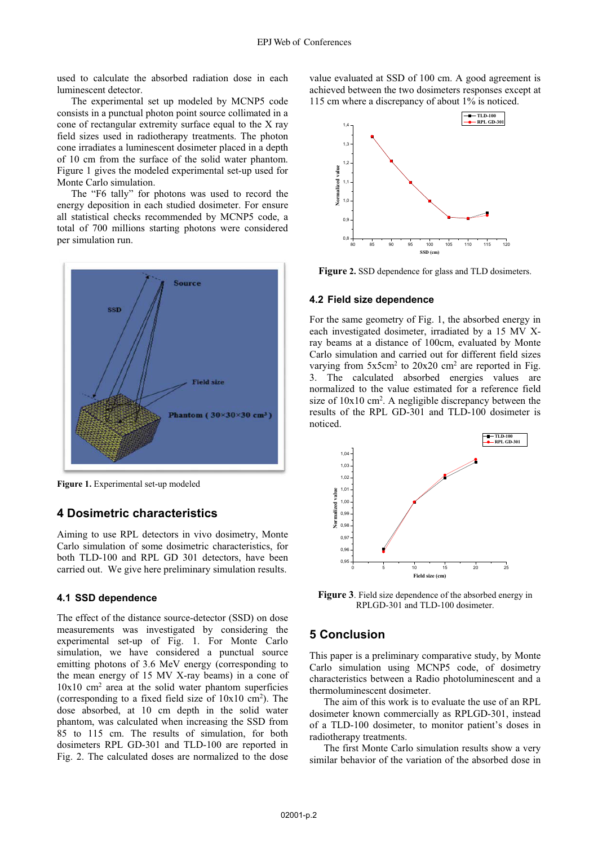used to calculate the absorbed radiation dose in each luminescent detector.

The experimental set up modeled by MCNP5 code consists in a punctual photon point source collimated in a cone of rectangular extremity surface equal to the X ray field sizes used in radiotherapy treatments. The photon cone irradiates a luminescent dosimeter placed in a depth of 10 cm from the surface of the solid water phantom. Figure 1 gives the modeled experimental set-up used for Monte Carlo simulation.

The "F6 tally" for photons was used to record the energy deposition in each studied dosimeter. For ensure all statistical checks recommended by MCNP5 code, a total of 700 millions starting photons were considered per simulation run.



Figure 1. Experimental set-up modeled

### 4 Dosimetric characteristics

Aiming to use RPL detectors in vivo dosimetry, Monte Carlo simulation of some dosimetric characteristics, for both TLD-100 and RPL GD 301 detectors, have been carried out. We give here preliminary simulation results.

### 4.1 SSD dependence

The effect of the distance source-detector (SSD) on dose measurements was investigated by considering the experimental set-up of Fig. 1. For Monte Carlo simulation, we have considered a punctual source emitting photons of 3.6 MeV energy (corresponding to the mean energy of 15 MV X-ray beams) in a cone of  $10x10$  cm<sup>2</sup> area at the solid water phantom superficies (corresponding to a fixed field size of  $10x10$  cm<sup>2</sup>). The dose absorbed, at 10 cm depth in the solid water phantom, was calculated when increasing the SSD from 85 to 115 cm. The results of simulation, for both dosimeters RPL GD-301 and TLD-100 are reported in Fig. 2. The calculated doses are normalized to the dose

value evaluated at SSD of 100 cm. A good agreement is achieved between the two dosimeters responses except at 115 cm where a discrepancy of about 1% is noticed.



Figure 2. SSD dependence for glass and TLD dosimeters.

#### 4.2 Field size dependence

For the same geometry of Fig. 1, the absorbed energy in each investigated dosimeter, irradiated by a 15 MV Xray beams at a distance of 100cm, evaluated by Monte Carlo simulation and carried out for different field sizes varying from  $5x5cm^2$  to  $20x20$  cm<sup>2</sup> are reported in Fig. 3. The calculated absorbed energies values are normalized to the value estimated for a reference field size of  $10x10$  cm<sup>2</sup>. A negligible discrepancy between the results of the RPL GD-301 and TLD-100 dosimeter is noticed.



**Figure 3.** Field size dependence of the absorbed energy in RPLGD-301 and TLD-100 dosimeter.

## **5 Conclusion**

This paper is a preliminary comparative study, by Monte Carlo simulation using MCNP5 code, of dosimetry characteristics between a Radio photoluminescent and a thermoluminescent dosimeter.

The aim of this work is to evaluate the use of an RPL dosimeter known commercially as RPLGD-301, instead of a TLD-100 dosimeter, to monitor patient's doses in radiotherapy treatments.

The first Monte Carlo simulation results show a very similar behavior of the variation of the absorbed dose in